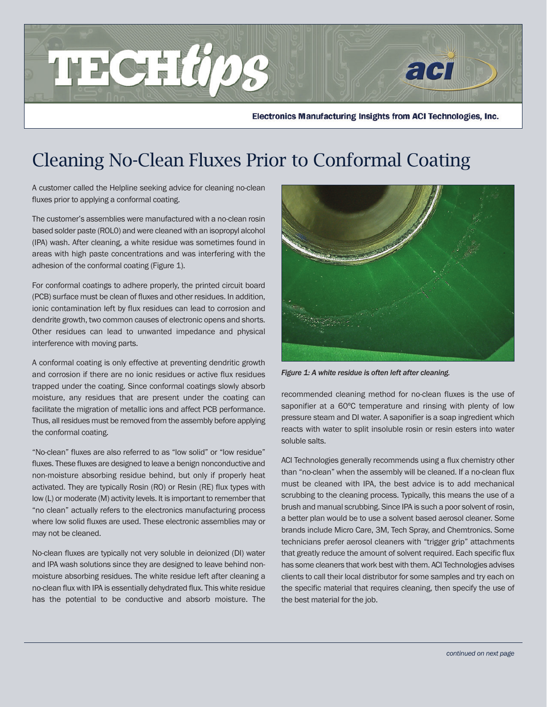

Electronics Manufacturing Insights from ACI Technologies, Inc.

## Cleaning No-Clean Fluxes Prior to Conformal Coating

A customer called the Helpline seeking advice for cleaning no-clean fluxes prior to applying a conformal coating.

The customer's assemblies were manufactured with a no-clean rosin based solder paste (ROL0) and were cleaned with an isopropyl alcohol (IPA) wash. After cleaning, a white residue was sometimes found in areas with high paste concentrations and was interfering with the adhesion of the conformal coating (Figure 1).

For conformal coatings to adhere properly, the printed circuit board (PCB) surface must be clean of fluxes and other residues. In addition, ionic contamination left by flux residues can lead to corrosion and dendrite growth, two common causes of electronic opens and shorts. Other residues can lead to unwanted impedance and physical interference with moving parts.

A conformal coating is only effective at preventing dendritic growth and corrosion if there are no ionic residues or active flux residues trapped under the coating. Since conformal coatings slowly absorb moisture, any residues that are present under the coating can facilitate the migration of metallic ions and affect PCB performance. Thus, all residues must be removed from the assembly before applying the conformal coating.

"No-clean" fluxes are also referred to as "low solid" or "low residue" fluxes. These fluxes are designed to leave a benign nonconductive and non-moisture absorbing residue behind, but only if properly heat activated. They are typically Rosin (RO) or Resin (RE) flux types with low (L) or moderate (M) activity levels. It is important to remember that "no clean" actually refers to the electronics manufacturing process where low solid fluxes are used. These electronic assemblies may or may not be cleaned.

No-clean fluxes are typically not very soluble in deionized (DI) water and IPA wash solutions since they are designed to leave behind nonmoisture absorbing residues. The white residue left after cleaning a no-clean flux with IPA is essentially dehydrated flux. This white residue has the potential to be conductive and absorb moisture. The



*Figure 1: A white residue is often left after cleaning.* 

recommended cleaning method for no-clean fluxes is the use of saponifier at a 60°C temperature and rinsing with plenty of low pressure steam and DI water. A saponifier is a soap ingredient which reacts with water to split insoluble rosin or resin esters into water soluble salts.

ACI Technologies generally recommends using a flux chemistry other than "no-clean" when the assembly will be cleaned. If a no-clean flux must be cleaned with IPA, the best advice is to add mechanical scrubbing to the cleaning process. Typically, this means the use of a brush and manual scrubbing. Since IPA is such a poor solvent of rosin, a better plan would be to use a solvent based aerosol cleaner. Some brands include Micro Care, 3M, Tech Spray, and Chemtronics. Some technicians prefer aerosol cleaners with "trigger grip" attachments that greatly reduce the amount of solvent required. Each specific flux has some cleaners that work best with them. ACI Technologies advises clients to call their local distributor for some samples and try each on the specific material that requires cleaning, then specify the use of the best material for the job.